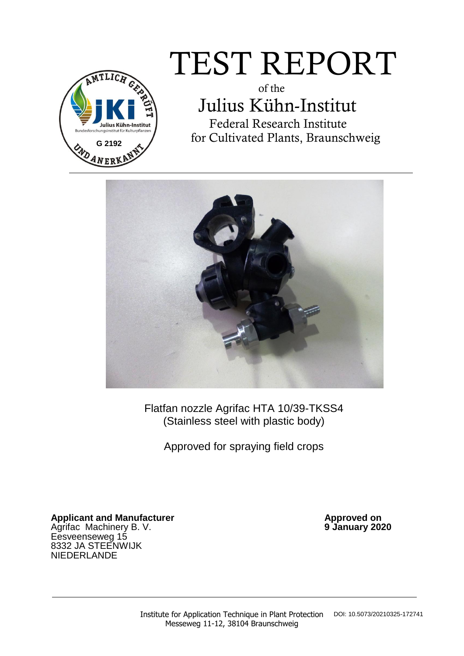

# TEST REPORT

 of the Julius Kühn-Institut Federal Research Institute for Cultivated Plants, Braunschweig



Flatfan nozzle Agrifac HTA 10/39-TKSS4 (Stainless steel with plastic body)

Approved for spraying field crops

Applicant and Manufacturer **Applicant and Manufacturer Approved on** Agrifac Machinery B. V. **9 January 2020** Eesveenseweg 15 8332 JA STEENWIJK NIEDERLANDE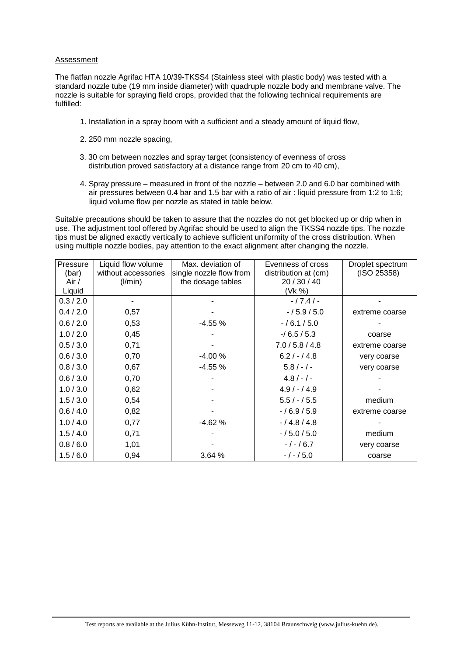#### Assessment

The flatfan nozzle Agrifac HTA 10/39-TKSS4 (Stainless steel with plastic body) was tested with a standard nozzle tube (19 mm inside diameter) with quadruple nozzle body and membrane valve. The nozzle is suitable for spraying field crops, provided that the following technical requirements are fulfilled:

- 1. Installation in a spray boom with a sufficient and a steady amount of liquid flow,
- 2. 250 mm nozzle spacing,
- 3. 30 cm between nozzles and spray target (consistency of evenness of cross distribution proved satisfactory at a distance range from 20 cm to 40 cm),
- 4. Spray pressure measured in front of the nozzle between 2.0 and 6.0 bar combined with air pressures between 0.4 bar and 1.5 bar with a ratio of air : liquid pressure from 1:2 to 1:6; liquid volume flow per nozzle as stated in table below.

Suitable precautions should be taken to assure that the nozzles do not get blocked up or drip when in use. The adjustment tool offered by Agrifac should be used to align the TKSS4 nozzle tips. The nozzle tips must be aligned exactly vertically to achieve sufficient uniformity of the cross distribution. When using multiple nozzle bodies, pay attention to the exact alignment after changing the nozzle.

| Pressure  | Liquid flow volume  | Max. deviation of       | Evenness of cross    | Droplet spectrum |
|-----------|---------------------|-------------------------|----------------------|------------------|
| (bar)     | without accessories | single nozzle flow from | distribution at (cm) | (ISO 25358)      |
| Air /     | (1/min)             | the dosage tables       | 20 / 30 / 40         |                  |
| Liquid    |                     |                         | (Vk %)               |                  |
| 0.3 / 2.0 |                     |                         | $-/7.4/-$            |                  |
| 0.4 / 2.0 | 0,57                |                         | $-/5.9/5.0$          | extreme coarse   |
| 0.6 / 2.0 | 0,53                | $-4.55%$                | $-/6.1/5.0$          |                  |
| 1.0 / 2.0 | 0,45                |                         | $-16.5/5.3$          | coarse           |
| 0.5 / 3.0 | 0,71                |                         | 7.0/5.8/4.8          | extreme coarse   |
| 0.6 / 3.0 | 0,70                | $-4.00%$                | $6.2 / - / 4.8$      | very coarse      |
| 0.8 / 3.0 | 0,67                | $-4.55%$                | $5.8/-/$             | very coarse      |
| 0.6 / 3.0 | 0,70                |                         | $4.8/-/$             |                  |
| 1.0 / 3.0 | 0,62                |                         | $4.9 / - 4.9$        |                  |
| 1.5/3.0   | 0,54                |                         | $5.5 / - 7.5.5$      | medium           |
| 0.6/4.0   | 0,82                |                         | $-/6.9/5.9$          | extreme coarse   |
| 1.0 / 4.0 | 0,77                | $-4.62%$                | $-/4.8/4.8$          |                  |
| 1.5/4.0   | 0,71                |                         | $-/5.0/5.0$          | medium           |
| 0.8 / 6.0 | 1,01                |                         | $-1 - 16.7$          | very coarse      |
| 1.5/6.0   | 0,94                | 3.64 %                  | $-/-/5.0$            | coarse           |